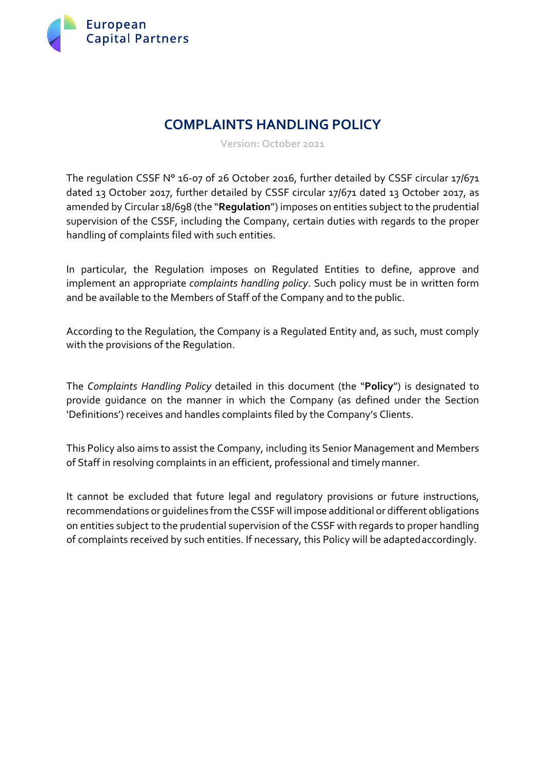

# **COMPLAINTS HANDLING POLICY**

**Version: October 2021**

The regulation CSSF N° 16-07 of 26 October 2016, further detailed by CSSF circular 17/671 dated 13 October 2017, further detailed by CSSF circular 17/671 dated 13 October 2017, as amended by Circular 18/698 (the "**Regulation**") imposes on entities subject to the prudential supervision of the CSSF, including the Company, certain duties with regards to the proper handling of complaints filed with such entities.

In particular, the Regulation imposes on Regulated Entities to define, approve and implement an appropriate *complaints handling policy*. Such policy must be in written form and be available to the Members of Staff of the Company and to the public.

According to the Regulation, the Company is a Regulated Entity and, as such, must comply with the provisions of the Regulation.

The *Complaints Handling Policy* detailed in this document (the "**Policy**") is designated to provide guidance on the manner in which the Company (as defined under the Section 'Definitions') receives and handles complaints filed by the Company's Clients.

This Policy also aims to assist the Company, including its Senior Management and Members of Staff in resolving complaints in an efficient, professional and timely manner.

It cannot be excluded that future legal and regulatory provisions or future instructions, recommendations or guidelines from the CSSF will impose additional or different obligations on entities subject to the prudential supervision of the CSSF with regards to proper handling of complaints received by such entities. If necessary, this Policy will be adaptedaccordingly.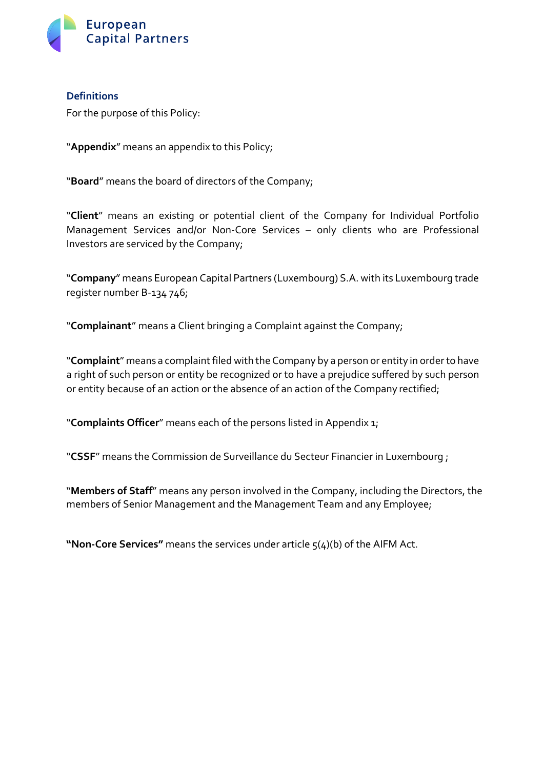

#### **Definitions**

For the purpose of this Policy:

"**Appendix**" means an appendix to this Policy;

"**Board**" means the board of directors of the Company;

"**Client**" means an existing or potential client of the Company for Individual Portfolio Management Services and/or Non-Core Services – only clients who are Professional Investors are serviced by the Company;

"**Company**" means European Capital Partners (Luxembourg) S.A. with its Luxembourg trade register number B-134 746;

"**Complainant**" means a Client bringing a Complaint against the Company;

"Complaint" means a complaint filed with the Company by a person or entity in order to have a right of such person or entity be recognized or to have a prejudice suffered by such person or entity because of an action or the absence of an action of the Company rectified;

"**Complaints Officer**" means each of the persons listed in Appendix 1;

"**CSSF**" means the Commission de Surveillance du Secteur Financier in Luxembourg ;

"**Members of Staff**" means any person involved in the Company, including the Directors, the members of Senior Management and the Management Team and any Employee;

**"Non-Core Services"** means the services under article 5(4)(b) of the AIFM Act.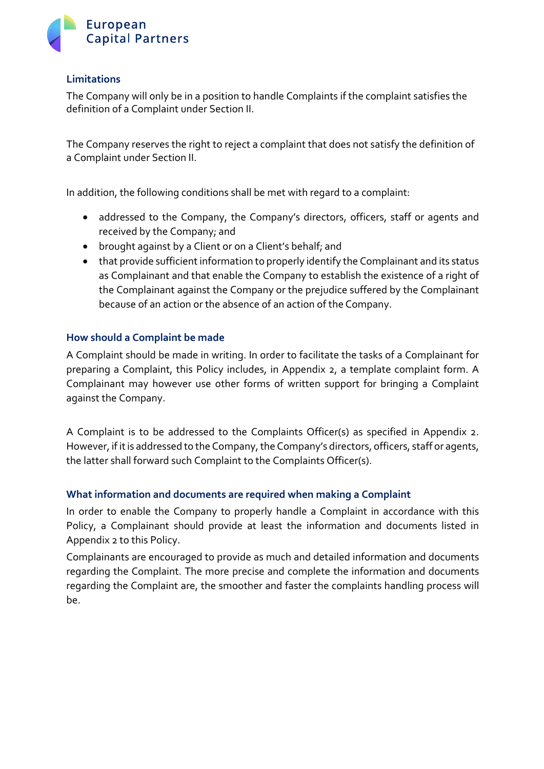

#### **Limitations**

The Company will only be in a position to handle Complaints if the complaint satisfies the definition of a Complaint under Section II.

The Company reserves the right to reject a complaint that does not satisfy the definition of a Complaint under Section II.

In addition, the following conditions shall be met with regard to a complaint:

- addressed to the Company, the Company's directors, officers, staff or agents and received by the Company; and
- brought against by a Client or on a Client's behalf; and
- that provide sufficient information to properly identify the Complainant and its status as Complainant and that enable the Company to establish the existence of a right of the Complainant against the Company or the prejudice suffered by the Complainant because of an action or the absence of an action of the Company.

#### **How should a Complaint be made**

A Complaint should be made in writing. In order to facilitate the tasks of a Complainant for preparing a Complaint, this Policy includes, in Appendix 2, a template complaint form. A Complainant may however use other forms of written support for bringing a Complaint against the Company.

A Complaint is to be addressed to the Complaints Officer(s) as specified in Appendix 2. However, if it is addressed to the Company, the Company's directors, officers, staff or agents, the latter shall forward such Complaint to the Complaints Officer(s).

#### **What information and documents are required when making a Complaint**

In order to enable the Company to properly handle a Complaint in accordance with this Policy, a Complainant should provide at least the information and documents listed in Appendix 2 to this Policy.

Complainants are encouraged to provide as much and detailed information and documents regarding the Complaint. The more precise and complete the information and documents regarding the Complaint are, the smoother and faster the complaints handling process will be.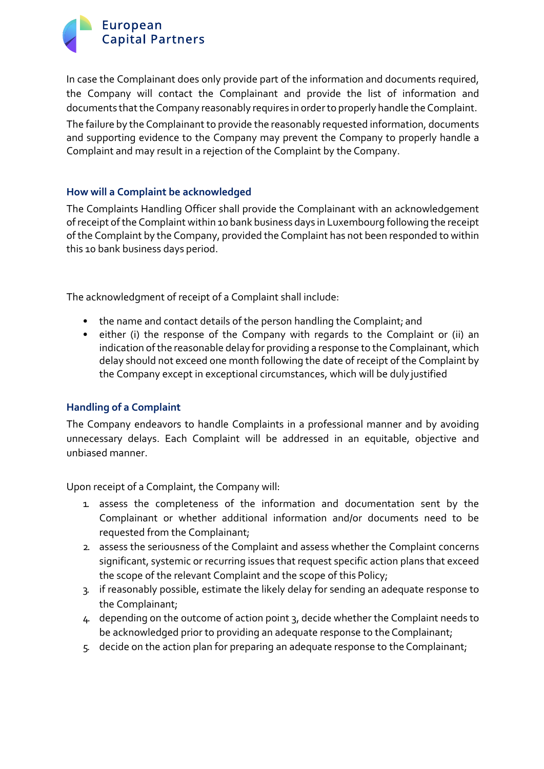

In case the Complainant does only provide part of the information and documents required, the Company will contact the Complainant and provide the list of information and documents that the Company reasonably requires in order to properly handle the Complaint.

The failure by the Complainant to provide the reasonably requested information, documents and supporting evidence to the Company may prevent the Company to properly handle a Complaint and may result in a rejection of the Complaint by the Company.

#### **How will a Complaint be acknowledged**

The Complaints Handling Officer shall provide the Complainant with an acknowledgement ofreceipt ofthe Complaint within 10 bank business days in Luxembourg following the receipt of the Complaint by the Company, provided the Complaint has not been responded to within this 10 bank business days period.

The acknowledgment of receipt of a Complaint shall include:

- the name and contact details of the person handling the Complaint; and
- either (i) the response of the Company with regards to the Complaint or (ii) an indication ofthe reasonable delay for providing a response to the Complainant, which delay should not exceed one month following the date of receipt of the Complaint by the Company except in exceptional circumstances, which will be duly justified

#### **Handling of a Complaint**

The Company endeavors to handle Complaints in a professional manner and by avoiding unnecessary delays. Each Complaint will be addressed in an equitable, objective and unbiased manner.

Upon receipt of a Complaint, the Company will:

- 1. assess the completeness of the information and documentation sent by the Complainant or whether additional information and/or documents need to be requested from the Complainant;
- 2. assess the seriousness of the Complaint and assess whether the Complaint concerns significant, systemic or recurring issues that request specific action plans that exceed the scope of the relevant Complaint and the scope of this Policy;
- 3. if reasonably possible, estimate the likely delay for sending an adequate response to the Complainant;
- 4. depending on the outcome of action point 3, decide whether the Complaint needs to be acknowledged prior to providing an adequate response to the Complainant;
- 5. decide on the action plan for preparing an adequate response to the Complainant;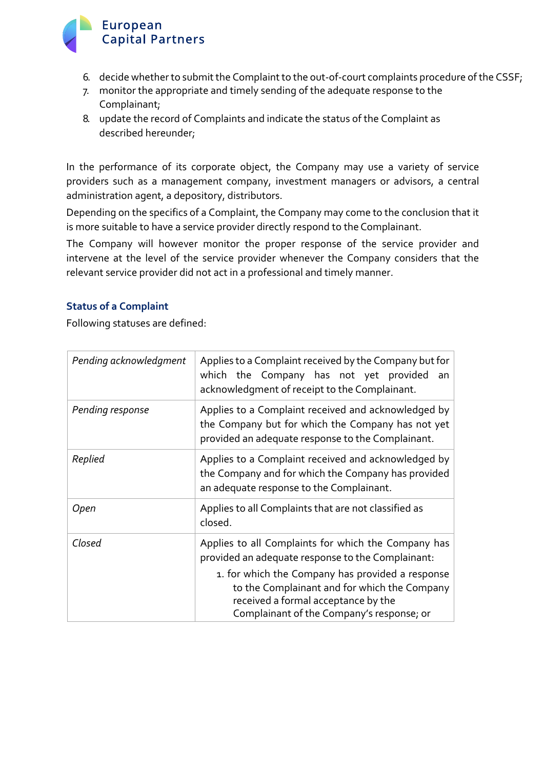# European **Capital Partners**

- 6. decide whether to submit the Complaint to the out-of-court complaints procedure of the CSSF;
- 7. monitor the appropriate and timely sending of the adequate response to the Complainant;
- 8. update the record of Complaints and indicate the status of the Complaint as described hereunder;

In the performance of its corporate object, the Company may use a variety of service providers such as a management company, investment managers or advisors, a central administration agent, a depository, distributors.

Depending on the specifics of a Complaint, the Company may come to the conclusion that it is more suitable to have a service provider directly respond to the Complainant.

The Company will however monitor the proper response of the service provider and intervene at the level of the service provider whenever the Company considers that the relevant service provider did not act in a professional and timely manner.

## **Status of a Complaint**

Following statuses are defined:

| Pending acknowledgment | Applies to a Complaint received by the Company but for<br>which the Company has not yet provided<br>an<br>acknowledgment of receipt to the Complainant.                              |
|------------------------|--------------------------------------------------------------------------------------------------------------------------------------------------------------------------------------|
| Pending response       | Applies to a Complaint received and acknowledged by<br>the Company but for which the Company has not yet<br>provided an adequate response to the Complainant.                        |
| Replied                | Applies to a Complaint received and acknowledged by<br>the Company and for which the Company has provided<br>an adequate response to the Complainant.                                |
| Open                   | Applies to all Complaints that are not classified as<br>closed.                                                                                                                      |
| Closed                 | Applies to all Complaints for which the Company has<br>provided an adequate response to the Complainant:                                                                             |
|                        | 1. for which the Company has provided a response<br>to the Complainant and for which the Company<br>received a formal acceptance by the<br>Complainant of the Company's response; or |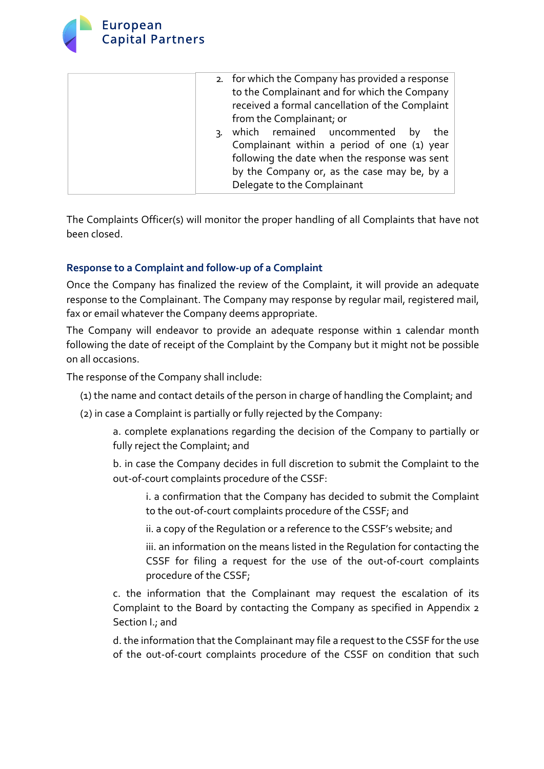

| 2. for which the Company has provided a response<br>to the Complainant and for which the Company<br>received a formal cancellation of the Complaint<br>from the Complainant; or                                             |
|-----------------------------------------------------------------------------------------------------------------------------------------------------------------------------------------------------------------------------|
| which remained uncommented<br>the<br>bv<br>٦.<br>Complainant within a period of one (1) year<br>following the date when the response was sent<br>by the Company or, as the case may be, by a<br>Delegate to the Complainant |

The Complaints Officer(s) will monitor the proper handling of all Complaints that have not been closed.

## **Response to a Complaint and follow-up of a Complaint**

Once the Company has finalized the review of the Complaint, it will provide an adequate response to the Complainant. The Company may response by regular mail, registered mail, fax or email whatever the Company deems appropriate.

The Company will endeavor to provide an adequate response within 1 calendar month following the date of receipt of the Complaint by the Company but it might not be possible on all occasions.

The response of the Company shall include:

- (1) the name and contact details of the person in charge of handling the Complaint; and
- (2) in case a Complaint is partially or fully rejected by the Company:

a. complete explanations regarding the decision of the Company to partially or fully reject the Complaint; and

b. in case the Company decides in full discretion to submit the Complaint to the out-of-court complaints procedure of the CSSF:

i. a confirmation that the Company has decided to submit the Complaint to the out-of-court complaints procedure of the CSSF; and

ii. a copy of the Regulation or a reference to the CSSF's website; and

iii. an information on the means listed in the Regulation for contacting the CSSF for filing a request for the use of the out-of-court complaints procedure of the CSSF;

c. the information that the Complainant may request the escalation of its Complaint to the Board by contacting the Company as specified in Appendix 2 Section I.; and

d. the information that the Complainant may file a request to the CSSF for the use of the out-of-court complaints procedure of the CSSF on condition that such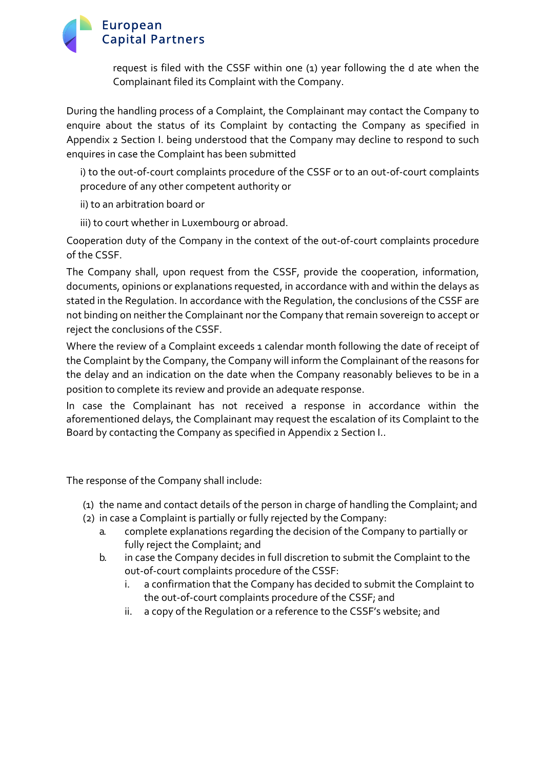# European **Capital Partners**

request is filed with the CSSF within one (1) year following the d ate when the Complainant filed its Complaint with the Company.

During the handling process of a Complaint, the Complainant may contact the Company to enquire about the status of its Complaint by contacting the Company as specified in Appendix 2 Section I. being understood that the Company may decline to respond to such enquires in case the Complaint has been submitted

i) to the out-of-court complaints procedure of the CSSF or to an out-of-court complaints procedure of any other competent authority or

ii) to an arbitration board or

iii) to court whether in Luxembourg or abroad.

Cooperation duty of the Company in the context of the out-of-court complaints procedure of the CSSF.

The Company shall, upon request from the CSSF, provide the cooperation, information, documents, opinions or explanations requested, in accordance with and within the delays as stated in the Regulation. In accordance with the Regulation, the conclusions of the CSSF are not binding on neither the Complainant nor the Company that remain sovereign to accept or reject the conclusions of the CSSF.

Where the review of a Complaint exceeds 1 calendar month following the date of receipt of the Complaint by the Company, the Company will inform the Complainant of the reasons for the delay and an indication on the date when the Company reasonably believes to be in a position to complete its review and provide an adequate response.

In case the Complainant has not received a response in accordance within the aforementioned delays, the Complainant may request the escalation of its Complaint to the Board by contacting the Company as specified in Appendix 2 Section I..

The response of the Company shall include:

- (1) the name and contact details of the person in charge of handling the Complaint; and
- (2) in case a Complaint is partially or fully rejected by the Company:
	- a. complete explanations regarding the decision of the Company to partially or fully reject the Complaint; and
	- b. in case the Company decides in full discretion to submit the Complaint to the out-of-court complaints procedure of the CSSF:
		- i. a confirmation that the Company has decided to submit the Complaint to the out-of-court complaints procedure of the CSSF; and
		- ii. a copy of the Regulation or a reference to the CSSF's website; and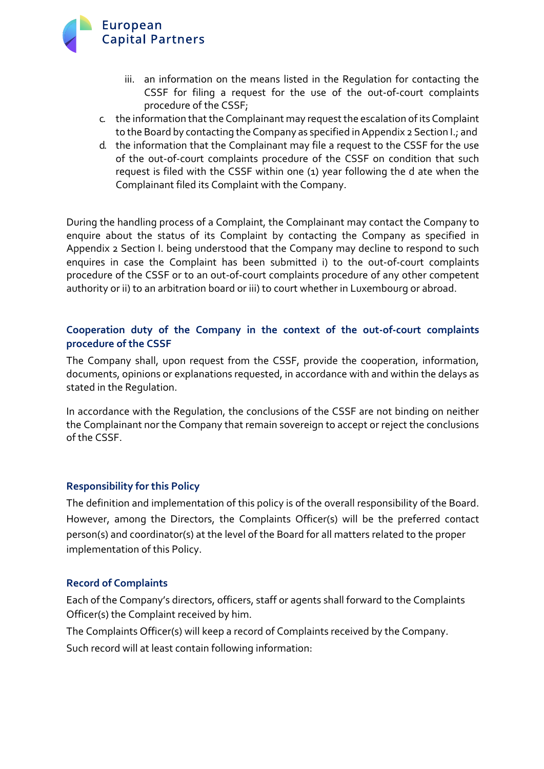

- iii. an information on the means listed in the Regulation for contacting the CSSF for filing a request for the use of the out-of-court complaints procedure of the CSSF;
- c. the information thatthe Complainant may requestthe escalation of its Complaint to the Board by contacting the Company as specified in Appendix 2 Section I.; and
- d. the information that the Complainant may file a request to the CSSF for the use of the out-of-court complaints procedure of the CSSF on condition that such request is filed with the CSSF within one (1) year following the d ate when the Complainant filed its Complaint with the Company.

During the handling process of a Complaint, the Complainant may contact the Company to enquire about the status of its Complaint by contacting the Company as specified in Appendix 2 Section I. being understood that the Company may decline to respond to such enquires in case the Complaint has been submitted i) to the out-of-court complaints procedure of the CSSF or to an out-of-court complaints procedure of any other competent authority or ii) to an arbitration board or iii) to court whether in Luxembourg or abroad.

## **Cooperation duty of the Company in the context of the out-of-court complaints procedure of the CSSF**

The Company shall, upon request from the CSSF, provide the cooperation, information, documents, opinions or explanations requested, in accordance with and within the delays as stated in the Regulation.

In accordance with the Regulation, the conclusions of the CSSF are not binding on neither the Complainant nor the Company that remain sovereign to accept or reject the conclusions of the CSSF.

#### **Responsibility for this Policy**

The definition and implementation of this policy is of the overall responsibility of the Board. However, among the Directors, the Complaints Officer(s) will be the preferred contact person(s) and coordinator(s) at the level of the Board for all matters related to the proper implementation of this Policy.

#### **Record of Complaints**

Each of the Company's directors, officers, staff or agents shall forward to the Complaints Officer(s) the Complaint received by him.

The Complaints Officer(s) will keep a record of Complaints received by the Company.

Such record will at least contain following information: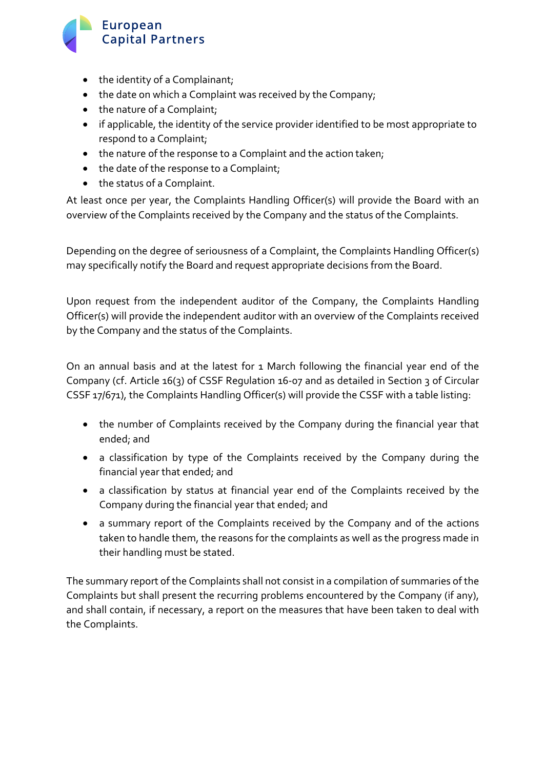# European **Capital Partners**

- the identity of a Complainant;
- the date on which a Complaint was received by the Company;
- the nature of a Complaint;
- if applicable, the identity of the service provider identified to be most appropriate to respond to a Complaint;
- the nature of the response to a Complaint and the action taken;
- the date of the response to a Complaint;
- the status of a Complaint.

At least once per year, the Complaints Handling Officer(s) will provide the Board with an overview of the Complaints received by the Company and the status of the Complaints.

Depending on the degree of seriousness of a Complaint, the Complaints Handling Officer(s) may specifically notify the Board and request appropriate decisions from the Board.

Upon request from the independent auditor of the Company, the Complaints Handling Officer(s) will provide the independent auditor with an overview of the Complaints received by the Company and the status of the Complaints.

On an annual basis and at the latest for 1 March following the financial year end of the Company (cf. Article 16(3) of CSSF Regulation 16-07 and as detailed in Section 3 of Circular CSSF 17/671), the Complaints Handling Officer(s) will provide the CSSF with a table listing:

- the number of Complaints received by the Company during the financial year that ended; and
- a classification by type of the Complaints received by the Company during the financial year that ended; and
- a classification by status at financial year end of the Complaints received by the Company during the financial year that ended; and
- a summary report of the Complaints received by the Company and of the actions taken to handle them, the reasons for the complaints as well as the progress made in their handling must be stated.

The summary report of the Complaints shall not consist in a compilation of summaries of the Complaints but shall present the recurring problems encountered by the Company (if any), and shall contain, if necessary, a report on the measures that have been taken to deal with the Complaints.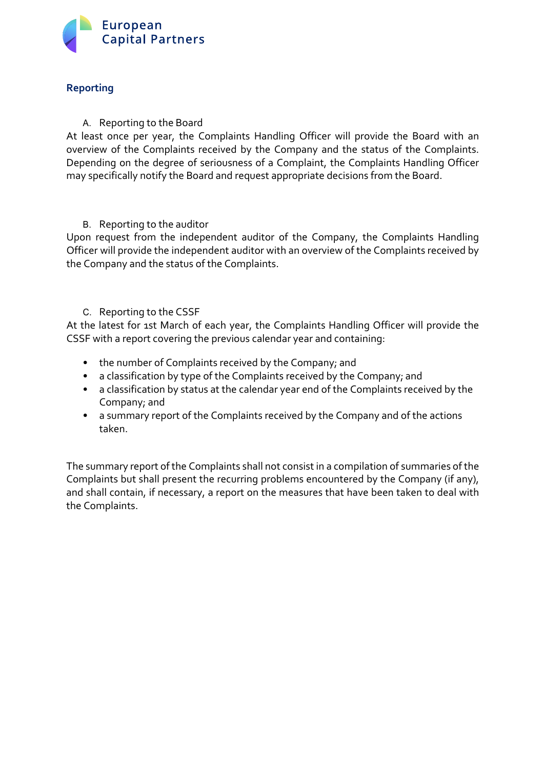

## **Reporting**

#### A. Reporting to the Board

At least once per year, the Complaints Handling Officer will provide the Board with an overview of the Complaints received by the Company and the status of the Complaints. Depending on the degree of seriousness of a Complaint, the Complaints Handling Officer may specifically notify the Board and request appropriate decisions from the Board.

#### B. Reporting to the auditor

Upon request from the independent auditor of the Company, the Complaints Handling Officer will provide the independent auditor with an overview of the Complaints received by the Company and the status of the Complaints.

C. Reporting to the CSSF

At the latest for 1st March of each year, the Complaints Handling Officer will provide the CSSF with a report covering the previous calendar year and containing:

- the number of Complaints received by the Company; and
- a classification by type of the Complaints received by the Company; and
- a classification by status at the calendar year end of the Complaints received by the Company; and
- a summary report of the Complaints received by the Company and of the actions taken.

The summary report of the Complaints shall not consist in a compilation of summaries of the Complaints but shall present the recurring problems encountered by the Company (if any), and shall contain, if necessary, a report on the measures that have been taken to deal with the Complaints.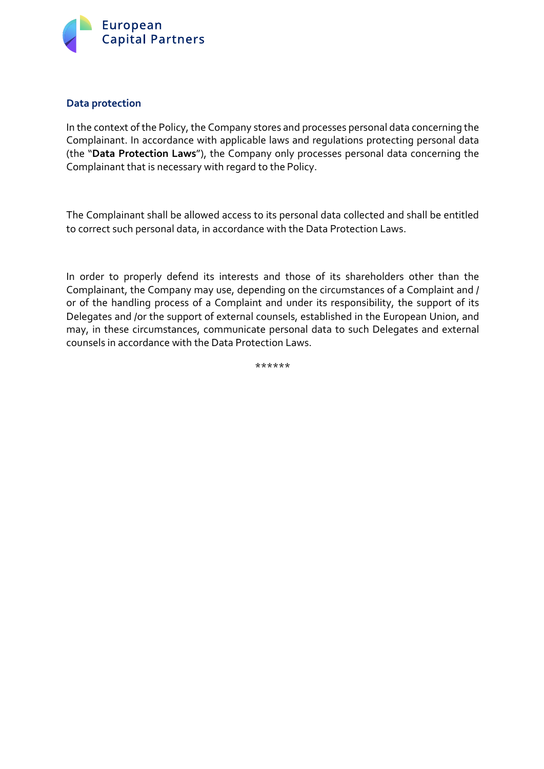

#### **Data protection**

In the context of the Policy, the Company stores and processes personal data concerning the Complainant. In accordance with applicable laws and regulations protecting personal data (the "**Data Protection Laws**"), the Company only processes personal data concerning the Complainant that is necessary with regard to the Policy.

The Complainant shall be allowed access to its personal data collected and shall be entitled to correct such personal data, in accordance with the Data Protection Laws.

In order to properly defend its interests and those of its shareholders other than the Complainant, the Company may use, depending on the circumstances of a Complaint and / or of the handling process of a Complaint and under its responsibility, the support of its Delegates and /or the support of external counsels, established in the European Union, and may, in these circumstances, communicate personal data to such Delegates and external counsels in accordance with the Data Protection Laws.

\*\*\*\*\*\*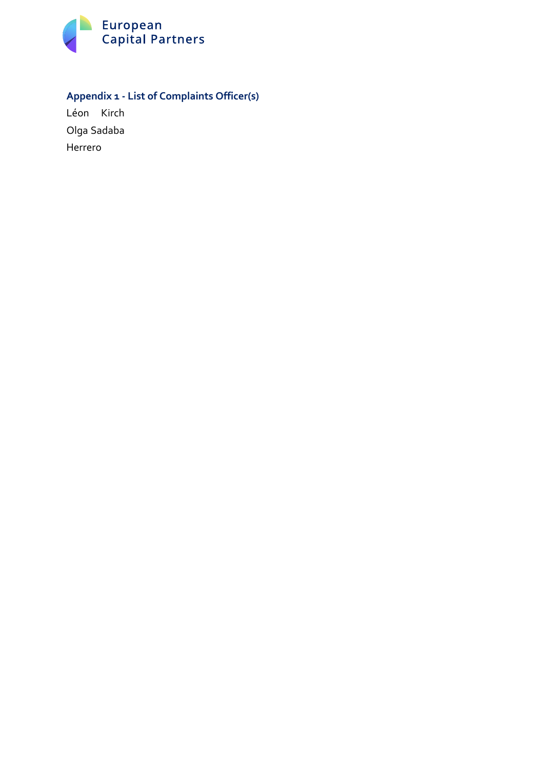

# **Appendix 1 - List of Complaints Officer(s)**

Léon Kirch Olga Sadaba Herrero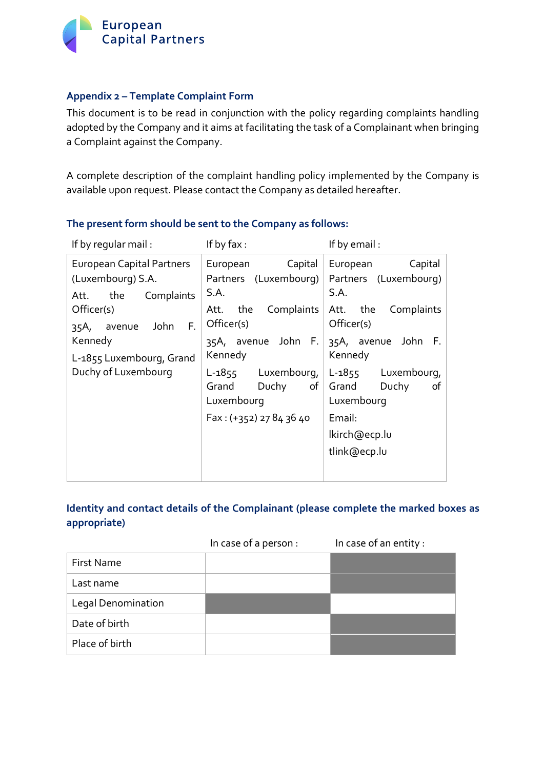

#### **Appendix 2 – Template Complaint Form**

This document is to be read in conjunction with the policy regarding complaints handling adopted by the Company and it aims at facilitating the task of a Complainant when bringing a Complaint against the Company.

A complete description of the complaint handling policy implemented by the Company is available upon request. Please contact the Company as detailed hereafter.

| If by regular mail:                                                          | If by $\mathsf{fax}$ :                                 | If by email:                                                |  |
|------------------------------------------------------------------------------|--------------------------------------------------------|-------------------------------------------------------------|--|
| <b>European Capital Partners</b><br>(Luxembourg) S.A.<br>Att. the Complaints | Capital<br>European<br>Partners (Luxembourg)  <br>S.A. | Capital<br>European<br>Partners (Luxembourg)<br>S.A.        |  |
| Officer(s)<br>F.<br>John<br>avenue<br>35A,                                   | Att. the<br>Officer(s)                                 | Complaints Att. the Complaints<br>Officer(s)                |  |
| Kennedy<br>L-1855 Luxembourg, Grand                                          | 35A, avenue John F.<br>Kennedy                         | 35A, avenue John F.<br>Kennedy                              |  |
| Duchy of Luxembourg                                                          | L-1855 Luxembourg,<br>Grand<br>Duchy<br>Luxembourg     | L-1855 Luxembourg,<br>of Grand<br>Duchy<br>of<br>Luxembourg |  |
|                                                                              | Fax: (+352) 27 84 36 40                                | Email:                                                      |  |
|                                                                              |                                                        | lkirch@ecp.lu                                               |  |
|                                                                              |                                                        | tlink@ecp.lu                                                |  |

## **The present form should be sent to the Company as follows:**

## **Identity and contact details of the Complainant (please complete the marked boxes as appropriate)**

|                           | In case of a person : | In case of an entity : |
|---------------------------|-----------------------|------------------------|
| First Name                |                       |                        |
| Last name                 |                       |                        |
| <b>Legal Denomination</b> |                       |                        |
| Date of birth             |                       |                        |
| Place of birth            |                       |                        |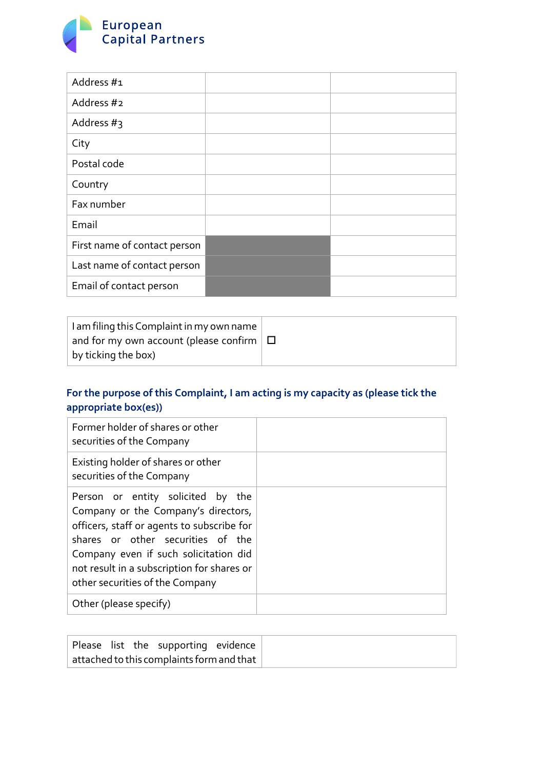

| Address #1                   |  |
|------------------------------|--|
| Address #2                   |  |
| Address $#_3$                |  |
| City                         |  |
| Postal code                  |  |
| Country                      |  |
| Fax number                   |  |
| Email                        |  |
| First name of contact person |  |
| Last name of contact person  |  |
| Email of contact person      |  |

| I am filing this Complaint in my own name     |  |
|-----------------------------------------------|--|
| and for my own account (please confirm $\Box$ |  |
| $\vert$ by ticking the box)                   |  |

# **For the purpose of this Complaint, I am acting is my capacity as (please tick the appropriate box(es))**

| Former holder of shares or other<br>securities of the Company                                                                                                                                                                                                                         |  |
|---------------------------------------------------------------------------------------------------------------------------------------------------------------------------------------------------------------------------------------------------------------------------------------|--|
| Existing holder of shares or other<br>securities of the Company                                                                                                                                                                                                                       |  |
| Person or entity solicited by the<br>Company or the Company's directors,<br>officers, staff or agents to subscribe for<br>shares or other securities of the<br>Company even if such solicitation did<br>not result in a subscription for shares or<br>other securities of the Company |  |
| Other (please specify)                                                                                                                                                                                                                                                                |  |

|                                                         |  |  | Please list the supporting evidence |  |
|---------------------------------------------------------|--|--|-------------------------------------|--|
| $\mid$ attached to this complaints form and that $\mid$ |  |  |                                     |  |